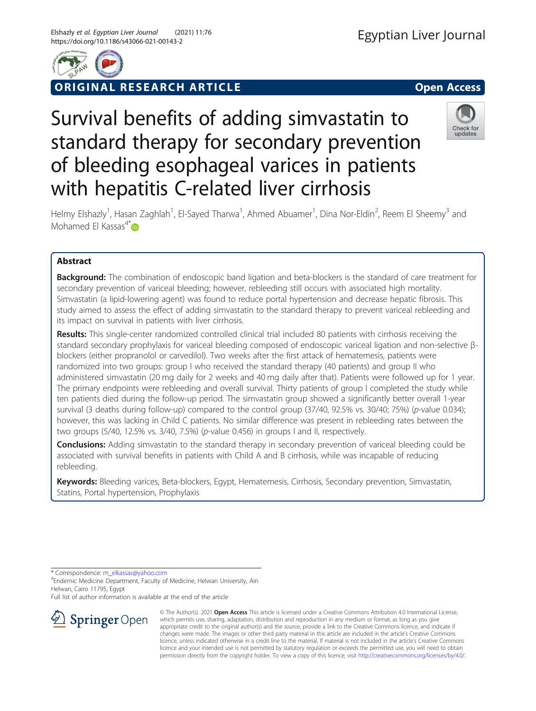

# **RIGINAL RESEARCH ARTICLE CONSIDERING OPEN Access**



Helmy Elshazly<sup>1</sup>, Hasan Zaghlah<sup>1</sup>, El-Sayed Tharwa<sup>1</sup>, Ahmed Abuamer<sup>1</sup>, Dina Nor-Eldin<sup>2</sup>, Reem El Sheemy<sup>3</sup> and Mohamed El Kassas<sup>4\*</sup> $\bullet$ 

Survival benefits of adding simvastatin to

standard therapy for secondary prevention

of bleeding esophageal varices in patients

with hepatitis C-related liver cirrhosis

## Abstract

**Background:** The combination of endoscopic band ligation and beta-blockers is the standard of care treatment for secondary prevention of variceal bleeding; however, rebleeding still occurs with associated high mortality. Simvastatin (a lipid-lowering agent) was found to reduce portal hypertension and decrease hepatic fibrosis. This study aimed to assess the effect of adding simvastatin to the standard therapy to prevent variceal rebleeding and its impact on survival in patients with liver cirrhosis.

Results: This single-center randomized controlled clinical trial included 80 patients with cirrhosis receiving the standard secondary prophylaxis for variceal bleeding composed of endoscopic variceal ligation and non-selective βblockers (either propranolol or carvedilol). Two weeks after the first attack of hematemesis, patients were randomized into two groups: group I who received the standard therapy (40 patients) and group II who administered simvastatin (20 mg daily for 2 weeks and 40 mg daily after that). Patients were followed up for 1 year. The primary endpoints were rebleeding and overall survival. Thirty patients of group I completed the study while ten patients died during the follow-up period. The simvastatin group showed a significantly better overall 1-year survival (3 deaths during follow-up) compared to the control group (37/40, 92.5% vs. 30/40; 75%) (p-value 0.034); however, this was lacking in Child C patients. No similar difference was present in rebleeding rates between the two groups (5/40, 12.5% vs. 3/40, 7.5%) (p-value 0.456) in groups I and II, respectively.

**Conclusions:** Adding simvastatin to the standard therapy in secondary prevention of variceal bleeding could be associated with survival benefits in patients with Child A and B cirrhosis, while was incapable of reducing rebleeding.

Keywords: Bleeding varices, Beta-blockers, Egypt, Hematemesis, Cirrhosis, Secondary prevention, Simvastatin, Statins, Portal hypertension, Prophylaxis

\* Correspondence: [m\\_elkassas@yahoo.com](mailto:m_elkassas@yahoo.com) <sup>4</sup>

Endemic Medicine Department, Faculty of Medicine, Helwan University, Ain Helwan, Cairo 11795, Egypt

Full list of author information is available at the end of the article



© The Author(s). 2021 Open Access This article is licensed under a Creative Commons Attribution 4.0 International License, which permits use, sharing, adaptation, distribution and reproduction in any medium or format, as long as you give appropriate credit to the original author(s) and the source, provide a link to the Creative Commons licence, and indicate if changes were made. The images or other third party material in this article are included in the article's Creative Commons licence, unless indicated otherwise in a credit line to the material. If material is not included in the article's Creative Commons licence and your intended use is not permitted by statutory regulation or exceeds the permitted use, you will need to obtain permission directly from the copyright holder. To view a copy of this licence, visit <http://creativecommons.org/licenses/by/4.0/>.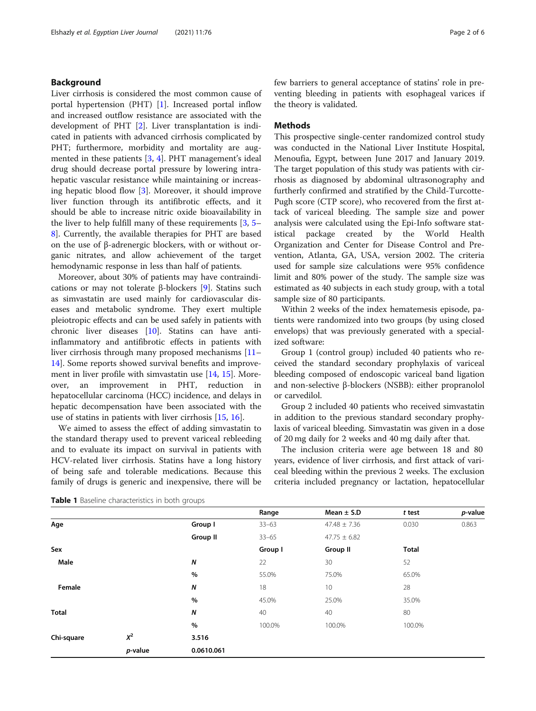### <span id="page-1-0"></span>Background

Liver cirrhosis is considered the most common cause of portal hypertension (PHT) [\[1](#page-4-0)]. Increased portal inflow and increased outflow resistance are associated with the development of PHT [[2\]](#page-5-0). Liver transplantation is indicated in patients with advanced cirrhosis complicated by PHT; furthermore, morbidity and mortality are augmented in these patients [[3,](#page-5-0) [4\]](#page-5-0). PHT management's ideal drug should decrease portal pressure by lowering intrahepatic vascular resistance while maintaining or increasing hepatic blood flow [[3\]](#page-5-0). Moreover, it should improve liver function through its antifibrotic effects, and it should be able to increase nitric oxide bioavailability in the liver to help fulfill many of these requirements [[3,](#page-5-0) [5](#page-5-0)– [8\]](#page-5-0). Currently, the available therapies for PHT are based on the use of β-adrenergic blockers, with or without organic nitrates, and allow achievement of the target hemodynamic response in less than half of patients.

Moreover, about 30% of patients may have contraindications or may not tolerate β-blockers [[9\]](#page-5-0). Statins such as simvastatin are used mainly for cardiovascular diseases and metabolic syndrome. They exert multiple pleiotropic effects and can be used safely in patients with chronic liver diseases [\[10](#page-5-0)]. Statins can have antiinflammatory and antifibrotic effects in patients with liver cirrhosis through many proposed mechanisms [[11](#page-5-0)– [14\]](#page-5-0). Some reports showed survival benefits and improvement in liver profile with simvastatin use [[14](#page-5-0), [15](#page-5-0)]. Moreover, an improvement in PHT, reduction in hepatocellular carcinoma (HCC) incidence, and delays in hepatic decompensation have been associated with the use of statins in patients with liver cirrhosis [[15](#page-5-0), [16](#page-5-0)].

We aimed to assess the effect of adding simvastatin to the standard therapy used to prevent variceal rebleeding and to evaluate its impact on survival in patients with HCV-related liver cirrhosis. Statins have a long history of being safe and tolerable medications. Because this family of drugs is generic and inexpensive, there will be few barriers to general acceptance of statins' role in preventing bleeding in patients with esophageal varices if the theory is validated.

#### **Methods**

This prospective single-center randomized control study was conducted in the National Liver Institute Hospital, Menoufia, Egypt, between June 2017 and January 2019. The target population of this study was patients with cirrhosis as diagnosed by abdominal ultrasonography and furtherly confirmed and stratified by the Child-Turcotte-Pugh score (CTP score), who recovered from the first attack of variceal bleeding. The sample size and power analysis were calculated using the Epi-Info software statistical package created by the World Health Organization and Center for Disease Control and Prevention, Atlanta, GA, USA, version 2002. The criteria used for sample size calculations were 95% confidence limit and 80% power of the study. The sample size was estimated as 40 subjects in each study group, with a total sample size of 80 participants.

Within 2 weeks of the index hematemesis episode, patients were randomized into two groups (by using closed envelops) that was previously generated with a specialized software:

Group 1 (control group) included 40 patients who received the standard secondary prophylaxis of variceal bleeding composed of endoscopic variceal band ligation and non-selective β-blockers (NSBB): either propranolol or carvedilol.

Group 2 included 40 patients who received simvastatin in addition to the previous standard secondary prophylaxis of variceal bleeding. Simvastatin was given in a dose of 20 mg daily for 2 weeks and 40 mg daily after that.

The inclusion criteria were age between 18 and 80 years, evidence of liver cirrhosis, and first attack of variceal bleeding within the previous 2 weeks. The exclusion criteria included pregnancy or lactation, hepatocellular

|  |  | Table 1 Baseline characteristics in both groups |  |  |
|--|--|-------------------------------------------------|--|--|
|--|--|-------------------------------------------------|--|--|

|              |         |                 | Range     | Mean $\pm$ S.D   | t test       | p-value |
|--------------|---------|-----------------|-----------|------------------|--------------|---------|
| Age          |         | Group I         | $33 - 63$ | $47.48 \pm 7.36$ | 0.030        | 0.863   |
|              |         | <b>Group II</b> | $33 - 65$ | $47.75 \pm 6.82$ |              |         |
| Sex          |         |                 | Group I   | Group II         | <b>Total</b> |         |
| Male         |         | N               | 22        | 30               | 52           |         |
|              |         | %               | 55.0%     | 75.0%            | 65.0%        |         |
| Female       |         | Ν               | 18        | 10               | 28           |         |
|              |         | %               | 45.0%     | 25.0%            | 35.0%        |         |
| <b>Total</b> |         | Ν               | 40        | 40               | 80           |         |
|              |         | %               | 100.0%    | 100.0%           | 100.0%       |         |
| Chi-square   | $X^2$   | 3.516           |           |                  |              |         |
|              | p-value | 0.0610.061      |           |                  |              |         |
|              |         |                 |           |                  |              |         |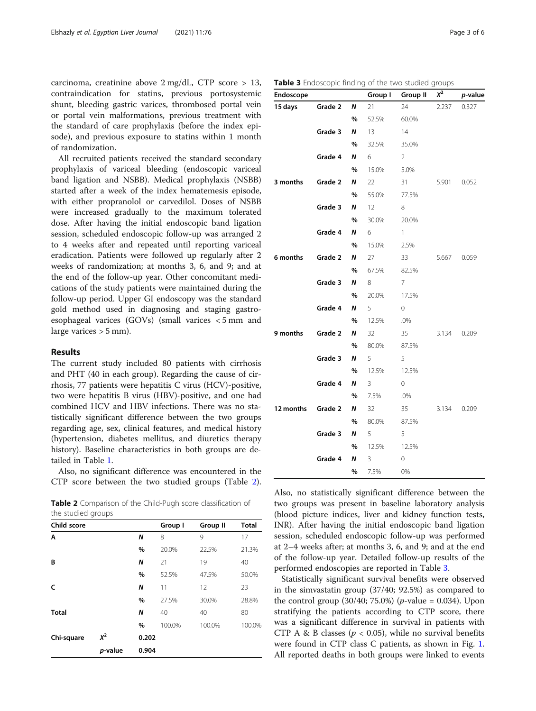carcinoma, creatinine above 2 mg/dL, CTP score > 13, contraindication for statins, previous portosystemic shunt, bleeding gastric varices, thrombosed portal vein or portal vein malformations, previous treatment with the standard of care prophylaxis (before the index episode), and previous exposure to statins within 1 month of randomization.

All recruited patients received the standard secondary prophylaxis of variceal bleeding (endoscopic variceal band ligation and NSBB). Medical prophylaxis (NSBB) started after a week of the index hematemesis episode, with either propranolol or carvedilol. Doses of NSBB were increased gradually to the maximum tolerated dose. After having the initial endoscopic band ligation session, scheduled endoscopic follow-up was arranged 2 to 4 weeks after and repeated until reporting variceal eradication. Patients were followed up regularly after 2 weeks of randomization; at months 3, 6, and 9; and at the end of the follow-up year. Other concomitant medications of the study patients were maintained during the follow-up period. Upper GI endoscopy was the standard gold method used in diagnosing and staging gastroesophageal varices (GOVs) (small varices < 5 mm and large varices  $> 5$  mm).

### Results

The current study included 80 patients with cirrhosis and PHT (40 in each group). Regarding the cause of cirrhosis, 77 patients were hepatitis C virus (HCV)-positive, two were hepatitis B virus (HBV)-positive, and one had combined HCV and HBV infections. There was no statistically significant difference between the two groups regarding age, sex, clinical features, and medical history (hypertension, diabetes mellitus, and diuretics therapy history). Baseline characteristics in both groups are detailed in Table [1.](#page-1-0)

Also, no significant difference was encountered in the CTP score between the two studied groups (Table 2).

Table 2 Comparison of the Child-Pugh score classification of the studied groups

| Child score  |         |       | Group I | <b>Group II</b> | <b>Total</b> |
|--------------|---------|-------|---------|-----------------|--------------|
| A            |         | N     | 8       | 9               | 17           |
|              |         | %     | 20.0%   | 22.5%           | 21.3%        |
| В            |         | N     | 21      | 19              | 40           |
|              |         | %     | 52.5%   | 47.5%           | 50.0%        |
| c            |         | N     | 11      | 12              | 23           |
|              |         | %     | 27.5%   | 30.0%           | 28.8%        |
| <b>Total</b> |         | N     | 40      | 40              | 80           |
|              |         | $\%$  | 100.0%  | 100.0%          | 100.0%       |
| Chi-square   | $X^2$   | 0.202 |         |                 |              |
|              | p-value | 0.904 |         |                 |              |

Table 3 Endoscopic finding of the two studied groups

| Endoscope |         |      | Group I           | Group II     | $X^2$ | p-value |
|-----------|---------|------|-------------------|--------------|-------|---------|
| 15 days   | Grade 2 | Ν    | 21                | 24           | 2.237 | 0.327   |
|           |         | $\%$ | 52.5%             | 60.0%        |       |         |
|           | Grade 3 | N    | 13                | 14           |       |         |
|           |         | %    | 32.5%             | 35.0%        |       |         |
|           | Grade 4 | Ν    | 6                 | 2            |       |         |
|           |         | $\%$ | 15.0%             | 5.0%         |       |         |
| 3 months  | Grade 2 | N    | 22                | 31           | 5.901 | 0.052   |
|           |         | $\%$ | 55.0%             | 77.5%        |       |         |
|           | Grade 3 | Ν    | $12 \overline{ }$ | 8            |       |         |
|           |         | $\%$ | 30.0%             | 20.0%        |       |         |
|           | Grade 4 | Ν    | 6                 | $\mathbf{1}$ |       |         |
|           |         | %    | 15.0%             | 2.5%         |       |         |
| 6 months  | Grade 2 | Ν    | 27                | 33           | 5.667 | 0.059   |
|           |         | $\%$ | 67.5%             | 82.5%        |       |         |
|           | Grade 3 | Ν    | 8                 | 7            |       |         |
|           |         | $\%$ | 20.0%             | 17.5%        |       |         |
|           | Grade 4 | N    | 5                 | 0            |       |         |
|           |         | $\%$ | 12.5%             | .0%          |       |         |
| 9 months  | Grade 2 | N    | 32                | 35           | 3.134 | 0.209   |
|           |         | $\%$ | 80.0%             | 87.5%        |       |         |
|           | Grade 3 | N    | 5                 | 5            |       |         |
|           |         | %    | 12.5%             | 12.5%        |       |         |
|           | Grade 4 | Ν    | 3                 | 0            |       |         |
|           |         | $\%$ | 7.5%              | .0%          |       |         |
| 12 months | Grade 2 | N    | 32                | 35           | 3.134 | 0.209   |
|           |         | %    | 80.0%             | 87.5%        |       |         |
|           | Grade 3 | Ν    | 5                 | 5            |       |         |
|           |         | $\%$ | 12.5%             | 12.5%        |       |         |
|           | Grade 4 | N    | 3                 | 0            |       |         |
|           |         | $\%$ | 7.5%              | 0%           |       |         |

Also, no statistically significant difference between the two groups was present in baseline laboratory analysis (blood picture indices, liver and kidney function tests, INR). After having the initial endoscopic band ligation session, scheduled endoscopic follow-up was performed at 2–4 weeks after; at months 3, 6, and 9; and at the end of the follow-up year. Detailed follow-up results of the performed endoscopies are reported in Table 3.

Statistically significant survival benefits were observed in the simvastatin group (37/40; 92.5%) as compared to the control group (30/40; 75.0%) ( $p$ -value = 0.034). Upon stratifying the patients according to CTP score, there was a significant difference in survival in patients with CTP A & B classes ( $p < 0.05$ ), while no survival benefits were found in CTP class C patients, as shown in Fig. [1](#page-3-0). All reported deaths in both groups were linked to events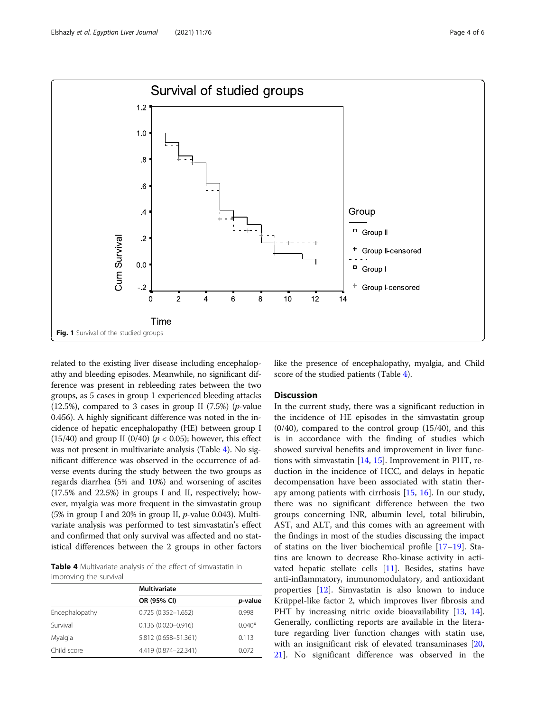<span id="page-3-0"></span>

related to the existing liver disease including encephalopathy and bleeding episodes. Meanwhile, no significant difference was present in rebleeding rates between the two groups, as 5 cases in group 1 experienced bleeding attacks (12.5%), compared to 3 cases in group II  $(7.5%)$  (*p*-value 0.456). A highly significant difference was noted in the incidence of hepatic encephalopathy (HE) between group I (15/40) and group II (0/40) ( $p < 0.05$ ); however, this effect was not present in multivariate analysis (Table 4). No significant difference was observed in the occurrence of adverse events during the study between the two groups as regards diarrhea (5% and 10%) and worsening of ascites (17.5% and 22.5%) in groups I and II, respectively; however, myalgia was more frequent in the simvastatin group (5% in group I and 20% in group II, p-value 0.043). Multivariate analysis was performed to test simvastatin's effect and confirmed that only survival was affected and no statistical differences between the 2 groups in other factors

Table 4 Multivariate analysis of the effect of simvastatin in improving the survival

|                | Multivariate           |          |  |
|----------------|------------------------|----------|--|
|                | OR (95% CI)            | p-value  |  |
| Encephalopathy | $0.725(0.352 - 1.652)$ | 0.998    |  |
| Survival       | $0.136(0.020 - 0.916)$ | $0.040*$ |  |
| Myalgia        | 5.812 (0.658-51.361)   | 0.113    |  |
| Child score    | 4.419 (0.874-22.341)   | 0.072    |  |

like the presence of encephalopathy, myalgia, and Child score of the studied patients (Table 4).

#### **Discussion**

In the current study, there was a significant reduction in the incidence of HE episodes in the simvastatin group  $(0/40)$ , compared to the control group  $(15/40)$ , and this is in accordance with the finding of studies which showed survival benefits and improvement in liver functions with simvastatin [\[14](#page-5-0), [15\]](#page-5-0). Improvement in PHT, reduction in the incidence of HCC, and delays in hepatic decompensation have been associated with statin therapy among patients with cirrhosis [\[15](#page-5-0), [16](#page-5-0)]. In our study, there was no significant difference between the two groups concerning INR, albumin level, total bilirubin, AST, and ALT, and this comes with an agreement with the findings in most of the studies discussing the impact of statins on the liver biochemical profile [\[17](#page-5-0)–[19](#page-5-0)]. Statins are known to decrease Rho-kinase activity in activated hepatic stellate cells [[11\]](#page-5-0). Besides, statins have anti-inflammatory, immunomodulatory, and antioxidant properties [\[12\]](#page-5-0). Simvastatin is also known to induce Krüppel-like factor 2, which improves liver fibrosis and PHT by increasing nitric oxide bioavailability [[13,](#page-5-0) [14](#page-5-0)]. Generally, conflicting reports are available in the literature regarding liver function changes with statin use, with an insignificant risk of elevated transaminases [[20](#page-5-0), [21\]](#page-5-0). No significant difference was observed in the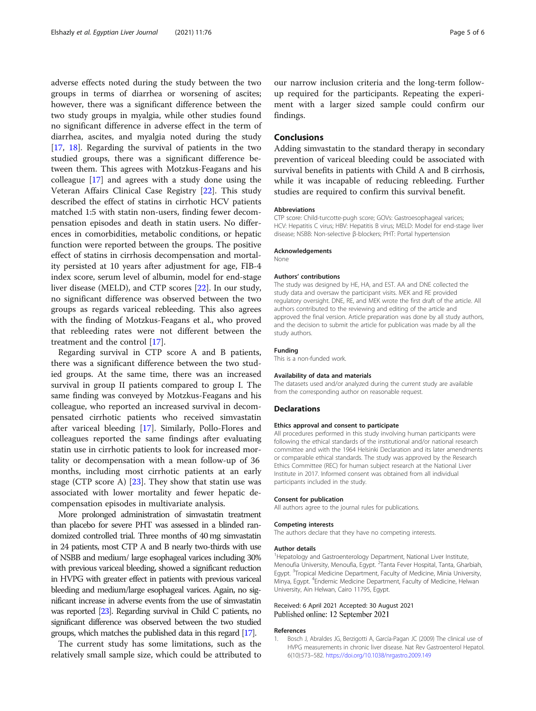<span id="page-4-0"></span>adverse effects noted during the study between the two groups in terms of diarrhea or worsening of ascites; however, there was a significant difference between the two study groups in myalgia, while other studies found no significant difference in adverse effect in the term of diarrhea, ascites, and myalgia noted during the study [[17,](#page-5-0) [18](#page-5-0)]. Regarding the survival of patients in the two studied groups, there was a significant difference between them. This agrees with Motzkus-Feagans and his colleague [\[17](#page-5-0)] and agrees with a study done using the Veteran Affairs Clinical Case Registry [[22\]](#page-5-0). This study described the effect of statins in cirrhotic HCV patients matched 1:5 with statin non-users, finding fewer decompensation episodes and death in statin users. No differences in comorbidities, metabolic conditions, or hepatic function were reported between the groups. The positive effect of statins in cirrhosis decompensation and mortality persisted at 10 years after adjustment for age, FIB-4 index score, serum level of albumin, model for end-stage liver disease (MELD), and CTP scores [\[22](#page-5-0)]. In our study, no significant difference was observed between the two groups as regards variceal rebleeding. This also agrees with the finding of Motzkus-Feagans et al., who proved that rebleeding rates were not different between the treatment and the control [[17\]](#page-5-0).

Regarding survival in CTP score A and B patients, there was a significant difference between the two studied groups. At the same time, there was an increased survival in group II patients compared to group I. The same finding was conveyed by Motzkus-Feagans and his colleague, who reported an increased survival in decompensated cirrhotic patients who received simvastatin after variceal bleeding [\[17](#page-5-0)]. Similarly, Pollo-Flores and colleagues reported the same findings after evaluating statin use in cirrhotic patients to look for increased mortality or decompensation with a mean follow-up of 36 months, including most cirrhotic patients at an early stage (CTP score A) [[23\]](#page-5-0). They show that statin use was associated with lower mortality and fewer hepatic decompensation episodes in multivariate analysis.

More prolonged administration of simvastatin treatment than placebo for severe PHT was assessed in a blinded randomized controlled trial. Three months of 40 mg simvastatin in 24 patients, most CTP A and B nearly two-thirds with use of NSBB and medium/ large esophageal varices including 30% with previous variceal bleeding, showed a significant reduction in HVPG with greater effect in patients with previous variceal bleeding and medium/large esophageal varices. Again, no significant increase in adverse events from the use of simvastatin was reported [\[23](#page-5-0)]. Regarding survival in Child C patients, no significant difference was observed between the two studied groups, which matches the published data in this regard [\[17](#page-5-0)].

The current study has some limitations, such as the relatively small sample size, which could be attributed to our narrow inclusion criteria and the long-term followup required for the participants. Repeating the experiment with a larger sized sample could confirm our findings.

#### **Conclusions**

Adding simvastatin to the standard therapy in secondary prevention of variceal bleeding could be associated with survival benefits in patients with Child A and B cirrhosis, while it was incapable of reducing rebleeding. Further studies are required to confirm this survival benefit.

#### **Abbreviations**

CTP score: Child-turcotte-pugh score; GOVs: Gastroesophageal varices; HCV: Hepatitis C virus; HBV: Hepatitis B virus; MELD: Model for end-stage liver disease; NSBB: Non-selective β-blockers; PHT: Portal hypertension

#### Acknowledgements

None

#### Authors' contributions

The study was designed by HE, HA, and EST. AA and DNE collected the study data and oversaw the participant visits. MEK and RE provided regulatory oversight. DNE, RE, and MEK wrote the first draft of the article. All authors contributed to the reviewing and editing of the article and approved the final version. Article preparation was done by all study authors, and the decision to submit the article for publication was made by all the study authors.

#### Funding

This is a non-funded work.

#### Availability of data and materials

The datasets used and/or analyzed during the current study are available from the corresponding author on reasonable request.

#### Declarations

#### Ethics approval and consent to participate

All procedures performed in this study involving human participants were following the ethical standards of the institutional and/or national research committee and with the 1964 Helsinki Declaration and its later amendments or comparable ethical standards. The study was approved by the Research Ethics Committee (REC) for human subject research at the National Liver Institute in 2017. Informed consent was obtained from all individual participants included in the study.

#### Consent for publication

All authors agree to the journal rules for publications.

#### Competing interests

The authors declare that they have no competing interests.

#### Author details

<sup>1</sup>Hepatology and Gastroenterology Department, National Liver Institute, Menoufia University, Menoufia, Egypt. <sup>2</sup>Tanta Fever Hospital, Tanta, Gharbiah Egypt. <sup>3</sup>Tropical Medicine Department, Faculty of Medicine, Minia University Minya, Egypt. <sup>4</sup> Endemic Medicine Department, Faculty of Medicine, Helwan University, Ain Helwan, Cairo 11795, Egypt.

#### Received: 6 April 2021 Accepted: 30 August 2021 Published online: 12 September 2021

#### References

1. Bosch J, Abraldes JG, Berzigotti A, García-Pagan JC (2009) The clinical use of HVPG measurements in chronic liver disease. Nat Rev Gastroenterol Hepatol. 6(10):573–582. <https://doi.org/10.1038/nrgastro.2009.149>